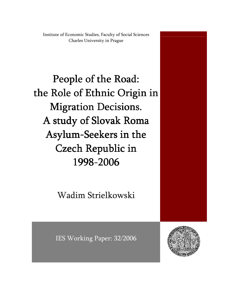Institute of Economic Studies, Faculty of Social Sciences Charles University in Prague

People of the Road: the Role of Ethnic Origin in **Migration Decisions.** A study of Slovak Roma Asylum-Seekers in the Czech Republic in 1998-2006

Wadim Strielkowski

IES Working Paper: 32/2006

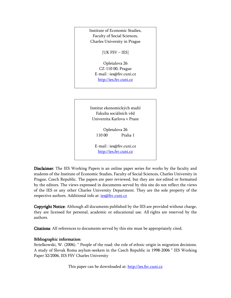Institute of Economic Studies, Faculty of Social Sciences, Charles University in Prague

[UK FSV – IES]

Opletalova 26 CZ-110 00, Prague E-mail : ies@fsv.cuni.cz http://ies.fsv.cuni.cz

Institut ekonomických studií Fakulta sociálních věd Univerzita Karlova v Praze

> Opletalova 26 110 00 Praha 1

E-mail : ies@fsv.cuni.cz http://ies.fsv.cuni.cz

Disclaimer: The IES Working Papers is an online paper series for works by the faculty and students of the Institute of Economic Studies, Faculty of Social Sciences, Charles University in Prague, Czech Republic. The papers are peer reviewed, but they are *not* edited or formatted by the editors. The views expressed in documents served by this site do not reflect the views of the IES or any other Charles University Department. They are the sole property of the respective authors. Additional info at: *ies@fsv.cuni.cz* 

Copyright Notice: Although all documents published by the IES are provided without charge, they are licensed for personal, academic or educational use. All rights are reserved by the authors.

Citations: All references to documents served by this site must be appropriately cited.

#### Bibliographic information:

Strielkowski, W. (2006). " People of the road: the role of ethnic origin in migration decisions. A study of Slovak Roma asylum-seekers in the Czech Republic in 1998-2006 " IES Working Paper 32/2006, IES FSV Charles University

This paper can be downloaded at: http://ies.fsv.cuni.cz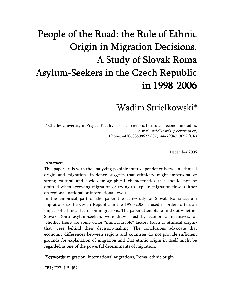# People of the Road: the Role of Ethnic Origin in Migration Decisions. A Study of Slovak Roma Asylum-Seekers in the Czech Republic in 1998-2006

Wadim Strielkowski#

# Charles University in Prague, Faculty of social sciences, Institute of economic studies, e-mail: strielkowski@centrum.cz, Phone: +420603508627 (CZ), +447904713052 (UK)

December 2006

#### Abstract: Abstract:

This paper deals with the analyzing possible inter-dependence between ethnical origin and migration. Evidence suggests that ethnicity might impersonalize strong cultural and socio-demographical characteristics that should not be omitted when accessing migration or trying to explain migration flows (either on regional, national or international level).

In the empirical part of the paper the case-study of Slovak Roma asylum migrations to the Czech Republic in the 1998-2006 is used in order to test an impact of ethnical factor on migrations. The paper attempts to find out whether Slovak Roma asylum-seekers were drawn just by economic incentives, or whether there are some other "immeasurable" factors (such as ethnical origin) that were behind their decision-making. The conclusions advocate that economic differences between regions and countries do not provide sufficient grounds for explanation of migration and that ethnic origin in itself might be regarded as one of the powerful determinants of migration.

Keywords: migration, international migrations, Roma, ethnic origin

**JEL:** F22, J15, J82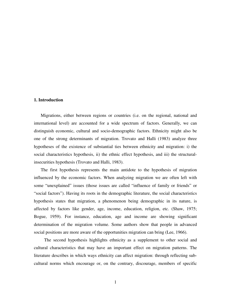#### **1. Introduction**

Migrations, either between regions or countries (i.e. on the regional, national and international level) are accounted for a wide spectrum of factors. Generally, we can distinguish economic, cultural and socio-demographic factors. Ethnicity might also be one of the strong determinants of migration. Trovato and Halli (1983) analyze three hypotheses of the existence of substantial ties between ethnicity and migration: i) the social characteristics hypothesis, ii) the ethnic effect hypothesis, and iii) the structuralinsecurities hypothesis (Trovato and Halli, 1983).

The first hypothesis represents the main antidote to the hypothesis of migration influenced by the economic factors. When analyzing migration we are often left with some "unexplained" issues (those issues are called "influence of family or friends" or "social factors"). Having its roots in the demographic literature, the social characteristics hypothesis states that migration, a phenomenon being demographic in its nature, is affected by factors like gender, age, income, education, religion, etc. (Shaw, 1975; Bogue, 1959). For instance, education, age and income are showing significant determination of the migration volume. Some authors show that people in advanced social positions are more aware of the opportunities migration can bring (Lee, 1966).

The second hypothesis highlights ethnicity as a supplement to other social and cultural characteristics that may have an important effect on migration patterns. The literature describes in which ways ethnicity can affect migration: through reflecting subcultural norms which encourage or, on the contrary, discourage, members of specific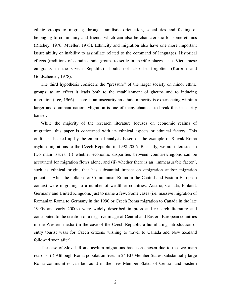ethnic groups to migrate; through familistic orientation, social ties and feeling of belonging to community and friends which can also be characteristic for some ethnics (Ritchey, 1976; Mueller, 1973). Ethnicity and migration also have one more important issue: ability or inability to assimilate related to the command of languages. Historical effects (traditions of certain ethnic groups to settle in specific places – i.e. Vietnamese emigrants in the Czech Republic) should not also be forgotten (Korbrin and Goldscheider, 1978).

The third hypothesis considers the "pressure" of the larger society on minor ethnic groups: as an effect it leads both to the establishment of ghettos and to inducing migration (Lee, 1966). There is an insecurity an ethnic minority is experiencing within a larger and dominant nation. Migration is one of many channels to break this insecurity barrier.

While the majority of the research literature focuses on economic realms of migration, this paper is concerned with its ethnical aspects or ethnical factors. This outline is backed up by the empirical analysis based on the example of Slovak Roma asylum migrations to the Czech Republic in 1998-2006. Basically, we are interested in two main issues: (i) whether economic disparities between countries/regions can be accounted for migration flows alone; and (ii) whether there is an "immeasurable factor", such as ethnical origin, that has substantial impact on emigration and/or migration potential. After the collapse of Communism Roma in the Central and Eastern European context were migrating to a number of wealthier countries: Austria, Canada, Finland, Germany and United Kingdom, just to name a few. Some cases (i.e. massive migration of Romanian Roma to Germany in the 1990 or Czech Roma migration to Canada in the late 1990s and early 2000s) were widely described in press and research literature and contributed to the creation of a negative image of Central and Eastern European countries in the Western media (in the case of the Czech Republic a humiliating introduction of entry tourist visas for Czech citizens wishing to travel to Canada and New Zealand followed soon after).

The case of Slovak Roma asylum migrations has been chosen due to the two main reasons: (i) Although Roma population lives in 24 EU Member States, substantially large Roma communities can be found in the new Member States of Central and Eastern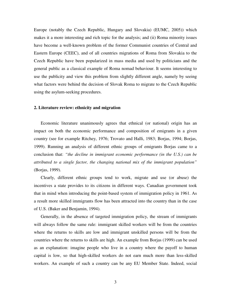Europe (notably the Czech Republic, Hungary and Slovakia) (EUMC, 2005)) which makes it a more interesting and rich topic for the analysis; and (ii) Roma minority issues have become a well-known problem of the former Communist countries of Central and Eastern Europe (CEEC), and of all countries migrations of Roma from Slovakia to the Czech Republic have been popularized in mass media and used by politicians and the general public as a classical example of Roma nomad behaviour. It seems interesting to use the publicity and view this problem from slightly different angle, namely by seeing what factors were behind the decision of Slovak Roma to migrate to the Czech Republic using the asylum-seeking procedures.

#### **2. Literature review: ethnicity and migration**

Economic literature unanimously agrees that ethnical (or national) origin has an impact on both the economic performance and composition of emigrants in a given country (see for example Ritchey, 1976; Trovato and Halli, 1983; Borjas, 1994; Borjas, 1999). Running an analysis of different ethnic groups of emigrants Borjas came to a conclusion that: *"the decline in immigrant economic performance (in the U.S.) can be attributed to a single factor, the changing national mix of the immigrant population"*  (Borjas, 1999).

Clearly, different ethnic groups tend to work, migrate and use (or abuse) the incentives a state provides to its citizens in different ways. Canadian government took that in mind when introducing the point-based system of immigration policy in 1961. As a result more skilled immigrants flow has been attracted into the country than in the case of U.S. (Baker and Benjamin, 1994).

Generally, in the absence of targeted immigration policy, the stream of immigrants will always follow the same rule: immigrant skilled workers will be from the countries where the returns to skills are low and immigrant unskilled persons will be from the countries where the returns to skills are high. An example from Borjas (1999) can be used as an explanation: imagine people who live in a country where the payoff to human capital is low, so that high-skilled workers do not earn much more than less-skilled workers. An example of such a country can be any EU Member State. Indeed, social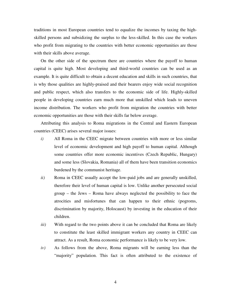traditions in most European countries tend to equalize the incomes by taxing the highskilled persons and subsidizing the surplus to the less-skilled. In this case the workers who profit from migrating to the countries with better economic opportunities are those with their skills above average.

On the other side of the spectrum there are countries where the payoff to human capital is quite high. Most developing and third-world countries can be used as an example. It is quite difficult to obtain a decent education and skills in such countries, that is why those qualities are highly-praised and their bearers enjoy wide social recognition and public respect, which also transfers to the economic side of life. Highly-skilled people in developing countries earn much more that unskilled which leads to uneven income distribution. The workers who profit from migration the countries with better economic opportunities are those with their skills far below average.

Attributing this analysis to Roma migrations in the Central and Eastern European countries (CEEC) arises several major issues:

- *i*) All Roma in the CEEC migrate between countries with more or less similar level of economic development and high payoff to human capital. Although some countries offer more economic incentives (Czech Republic, Hungary) and some less (Slovakia, Romania) all of them have been transition economics burdened by the communist heritage.
- *ii*) Roma in CEEC usually accept the low-paid jobs and are generally unskilled, therefore their level of human capital is low. Unlike another persecuted social group – the Jews – Roma have always neglected the possibility to face the atrocities and misfortunes that can happen to their ethnic (pogroms, discrimination by majority, Holocaust) by investing in the education of their children.
- *iii*) With regard to the two points above it can be concluded that Roma are likely to constitute the least skilled immigrant workers any country in CEEC can attract. As a result, Roma economic performance is likely to be very low.
- *iv)* As follows from the above, Roma migrants will be earning less than the "majority" population. This fact is often attributed to the existence of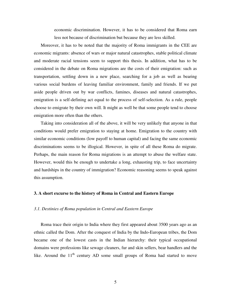economic discrimination. However, it has to be considered that Roma earn less not because of discrimination but because they are less skilled.

Moreover, it has to be noted that the majority of Roma immigrants in the CEE are economic migrants: absence of wars or major natural catastrophes, stable political climate and moderate racial tensions seem to support this thesis. In addition, what has to be considered in the debate on Roma migrations are the costs of their emigration: such as transportation, settling down in a new place, searching for a job as well as bearing various social burdens of leaving familiar environment, family and friends. If we put aside people driven out by war conflicts, famines, diseases and natural catastrophes, emigration is a self-defining act equal to the process of self-selection. As a rule, people choose to emigrate by their own will. It might as well be that some people tend to choose emigration more often than the others.

Taking into consideration all of the above, it will be very unlikely that anyone in that conditions would prefer emigration to staying at home. Emigration to the country with similar economic conditions (low payoff to human capital) and facing the same economic discriminations seems to be illogical. However, in spite of all these Roma do migrate. Perhaps, the main reason for Roma migrations is an attempt to abuse the welfare state. However, would this be enough to undertake a long, exhausting trip, to face uncertainty and hardships in the country of immigration? Economic reasoning seems to speak against this assumption.

#### **3. A short excurse to the history of Roma in Central and Eastern Europe**

#### *3.1. Destinies of Roma population in Central and Eastern Europe*

Roma trace their origin to India where they first appeared about 3500 years ago as an ethnic called the Dom. After the conquest of India by the Indo-European tribes, the Dom became one of the lowest casts in the Indian hierarchy: their typical occupational domains were professions like sewage cleaners, fur and skin sellers, bear handlers and the like. Around the  $11<sup>th</sup>$  century AD some small groups of Roma had started to move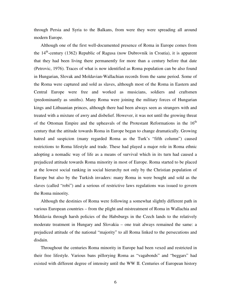through Persia and Syria to the Balkans, from were they were spreading all around modern Europe.

Although one of the first well-documented presence of Roma in Europe comes from the  $14<sup>th</sup>$ -century (1362) Republic of Ragusa (now Dubrovnik in Croatia), it is apparent that they had been living there permanently for more than a century before that date (Petrovic, 1976). Traces of what is now identified as Roma population can be also found in Hungarian, Slovak and Moldavian-Wallachian records from the same period. Some of the Roma were captured and sold as slaves, although most of the Roma in Eastern and Central Europe were free and worked as musicians, soldiers and craftsmen (predominantly as smiths). Many Roma were joining the military forces of Hungarian kings and Lithuanian princes, although there had been always seen as strangers with and treated with a mixture of awry and disbelief. However, it was not until the growing threat of the Ottoman Empire and the upheavals of the Protestant Reformations in the  $16<sup>th</sup>$ century that the attitude towards Roma in Europe began to change dramatically. Growing hatred and suspicion (many regarded Roma as the Turk's "fifth column") caused restrictions to Roma lifestyle and trade. These had played a major role in Roma ethnic adopting a nomadic way of life as a means of survival which in its turn had caused a prejudiced attitude towards Roma minority in most of Europe. Roma started to be placed at the lowest social ranking in social hierarchy not only by the Christian population of Europe but also by the Turkish invaders: many Roma in were bought and sold as the slaves (called "robi") and a serious of restrictive laws regulations was issued to govern the Roma minority.

Although the destinies of Roma were following a somewhat slightly different path in various European countries – from the plight and mistreatment of Roma in Wallachia and Moldavia through harsh policies of the Habsburgs in the Czech lands to the relatively moderate treatment in Hungary and Slovakia – one trait always remained the same: a prejudiced attitude of the national "majority" to all Roma linked to the persecutions and disdain.

Throughout the centuries Roma minority in Europe had been vexed and restricted in their free lifestyle. Various bans pillorying Roma as "vagabonds" and "beggars" had existed with different degree of intensity until the WW II. Centuries of European history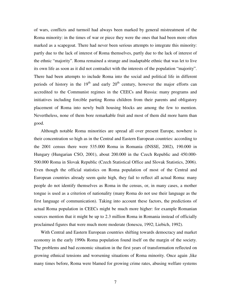of wars, conflicts and turmoil had always been marked by general mistreatment of the Roma minority: in the times of war or piece they were the ones that had been more often marked as a scapegoat. There had never been serious attempts to integrate this minority: partly due to the lack of interest of Roma themselves, partly due to the lack of interest of the ethnic "majority". Roma remained a strange and inadaptable ethnic that was let to live its own life as soon as it did not contradict with the interests of the population "majority". There had been attempts to include Roma into the social and political life in different periods of history in the  $19<sup>th</sup>$  and early  $20<sup>th</sup>$  century, however the major efforts can accredited to the Communist regimes in the CEECs and Russia: many programs and initiatives including forcible parting Roma children from their parents and obligatory placement of Roma into newly built housing blocks are among the few to mention. Nevertheless, none of them bore remarkable fruit and most of them did more harm than good.

Although notable Roma minorities are spread all over present Europe, nowhere is their concentration so high as in the Central and Eastern European countries: according to the 2001 census there were 535.000 Roma in Romania (INSSE, 2002), 190.000 in Hungary (Hungarian CSO, 2001), about 200.000 in the Czech Republic and 450.000- 500.000 Roma in Slovak Republic (Czech Statistical Office and Slovak Statistics, 2006). Even though the official statistics on Roma population of most of the Central and European countries already seem quite high, they fail to reflect all actual Roma: many people do not identify themselves as Roma in the census, or, in many cases, a mother tongue is used as a criterion of nationality (many Roma do not use their language as the first language of communication). Taking into account these factors, the predictions of actual Roma population in CEECs might be much more higher: for example Romanian sources mention that it might be up to 2.3 million Roma in Romania instead of officially proclaimed figures that were much more moderate (Ionescu, 1992; Liebich, 1992).

With Central and Eastern European countries shifting towards democracy and market economy in the early 1990s Roma population found itself on the margin of the society. The problems and bad economic situation in the first years of transformation reflected on growing ethnical tensions and worsening situations of Roma minority. Once again ,like many times before, Roma were blamed for growing crime rates, abusing welfare systems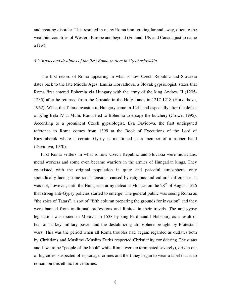and creating disorder. This resulted in many Roma immigrating far and away, often to the wealthier countries of Western Europe and beyond (Finland, UK and Canada just to name a few).

#### *3.2. Roots and destinies of the first Roma settlers in Czechoslovakia*

The first record of Roma appearing in what is now Czech Republic and Slovakia dates back to the late Middle Ages. Emilia Horvathova, a Slovak gypsiologist, states that Roma first entered Bohemia via Hungary with the army of the king Andrew II (1205- 1235) after he returned from the Crusade in the Holy Lands in 1217-1218 (Horvathova, 1962) .When the Tatars invasion to Hungary came in 1241 and especially after the defeat of King Bela IV at Muhi, Roma fled to Bohemia to escape the butchery (Crowe, 1995). According to a prominent Czech gypsiologist, Eva Davidova, the first undisputed reference to Roma comes from 1399 at the Book of Executions of the Lord of Ruzomberok where a certain Gypsy is mentioned as a member of a robber band (Davidova, 1970).

First Roma settlers in what is now Czech Republic and Slovakia were musicians, metal workers and some even became warriors in the armies of Hungarian kings. They co-existed with the original population in quite and peaceful atmosphere, only sporadically facing some racial tensions caused by religious and cultural differences. It was not, however, until the Hungarian army defeat at Mohacs on the  $28<sup>th</sup>$  of August 1526 that strong anti-Gypsy policies started to emerge. The general public was seeing Roma as "the spies of Tatars", a sort of "fifth column preparing the grounds for invasion" and they were banned from traditional professions and limited in their travels. The anti-gypsy legislation was issued in Moravia in 1538 by king Ferdinand I Habsburg as a result of fear of Turkey military power and the destabilizing atmosphere brought by Protestant wars. This was the period when all Roma troubles had began: regarded as outlaws both by Christians and Muslims (Muslim Turks respected Christianity considering Christians and Jews to be "people of the book" while Roma were exterminated severely), driven out of big cities, suspected of espionage, crimes and theft they began to wear a label that is to remain on this ethnic for centuries.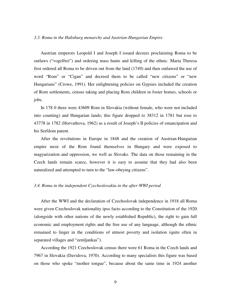#### *3.3. Roma in the Habsburg monarchy and Austrian-Hungarian Empire*

Austrian emperors Leopold I and Joseph I issued decrees proclaiming Roma to be outlaws ("vogelfrei") and ordering mass hunts and killing of the ethnic. Maria Theresa first ordered all Roma to be driven out from the land (1749) and then outlawed the use of word "Rom" or "Cigan" and decreed them to be called "new citizens" or "new Hungarians" (Crowe, 1991). Her enlightening policies on Gypsies included the creation of Rom settlements, census taking and placing Rom children in foster homes, schools or jobs.

In 178 0 there were 43609 Rom in Slovakia (without female, who were not included into counting) and Hungarian lands; this figure dropped to 38312 in 1781 but rose to 43778 in 1782 (Horvathova, 1962) as a result of Joseph's II policies of emancipation and his Serfdom patent.

After the revolutions in Europe in 1848 and the creation of Austrian-Hungarian empire most of the Rom found themselves in Hungary and were exposed to magyarization and oppression, we well as Slovaks. The data on those remaining in the Czech lands remain scarce, however it is easy to assume that they had also been naturalized and attempted to turn to the "law-obeying citizens".

#### *3.4. Roma in the independent Czechoslovakia in the after-WWI period*

After the WWI and the declaration of Czechoslovak independence in 1918 all Roma were given Czechoslovak nationality ipso facto according to the Constitution of the 1920 (alongside with other nations of the newly established Republic), the right to gain full economic and employment rights and the free use of any language, although the ethnic remained to linger in the conditions of utmost poverty and isolation (quite often in separated villages and "zemljankas").

According the 1921 Czechoslovak census there were 61 Roma in the Czech lands and 7967 in Slovakia (Davidova, 1970). According to many specialists this figure was based on those who spoke "mother tongue", because about the same time in 1924 another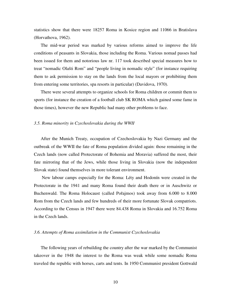statistics show that there were 18257 Roma in Kosice region and 11066 in Bratislava (Horvathova, 1962).

The mid-war period was marked by various reforms aimed to improve the life conditions of peasants in Slovakia, those including the Roma. Various nomad passes had been issued for them and notorious law nr. 117 took described special measures how to treat "nomadic Olašti Rom" and "people living in nomadic style" (for instance requiring them to ask permission to stay on the lands from the local mayors or prohibiting them from entering some territories, spa resorts in particular) (Davidova, 1970).

There were several attempts to organize schools for Roma children or commit them to sports (for instance the creation of a football club SK ROMA which gained some fame in those times), however the new Republic had many other problems to face.

#### *3.5. Roma minority in Czechoslovakia during the WWII*

After the Munich Treaty, occupation of Czechoslovakia by Nazi Germany and the outbreak of the WWII the fate of Roma population divided again: those remaining in the Czech lands (now called Protectorate of Bohemia and Moravia) suffered the most, their fate mirroring that of the Jews, while those living in Slovakia (now the independent Slovak state) found themselves in more tolerant environment.

 New labour camps especially for the Roma: Léty and Hodonín were created in the Protectorate in the 1941 and many Roma found their death there or in Auschwitz or Buchenwald. The Roma Holocaust (called Pořajmos) took away from 6.000 to 8.000 Rom from the Czech lands and few hundreds of their more fortunate Slovak compatriots. According to the Census in 1947 there were 84.438 Roma in Slovakia and 16.752 Roma in the Czech lands.

#### *3.6. Attempts of Roma assimilation in the Communist Czechoslovakia*

The following years of rebuilding the country after the war marked by the Communist takeover in the 1948 the interest to the Roma was weak while some nomadic Roma traveled the republic with horses, carts and tents. In 1950 Communist president Gottwald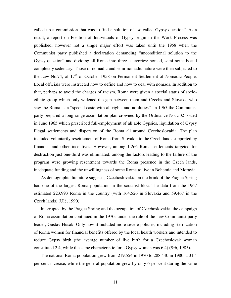called up a commission that was to find a solution of "so-called Gypsy question". As a result, a report on Position of Individuals of Gypsy origin in the Work Process was published, however not a single major effort was taken until the 1958 when the Communist party published a declaration demanding "unconditional solution to the Gypsy question" and dividing all Roma into three categories: nomad, semi-nomads and completely sedentary. Those of nomadic and semi-nomadic nature were then subjected to the Law No.74, of 17<sup>th</sup> of October 1958 on Permanent Settlement of Nomadic People. Local officials were instructed how to define and how to deal with nomads. In addition to that, perhaps to avoid the charges of racism, Roma were given a special status of socioethnic group which only widened the gap between them and Czechs and Slovaks, who saw the Roma as a "special caste with all rights and no duties". In 1965 the Communist party prepared a long-range assimilation plan crowned by the Ordinance No. 502 issued in June 1965 which prescribed full-employment of all able Gypsies, liquidation of Gypsy illegal settlements and dispersion of the Roma all around Czechoslovakia. The plan included voluntarily resettlement of Roma from Slovakia to the Czech lands supported by financial and other incentives. However, among 1.266 Roma settlements targeted for destruction just one-third was eliminated: among the factors leading to the failure of the program were growing resentment towards the Roma presence in the Czech lands, inadequate funding and the unwillingness of some Roma to live in Bohemia and Moravia.

As demographic literature suggests, Czechoslovakia on the brink of the Prague Spring had one of the largest Roma population in the socialist bloc. The data from the 1967 estimated 223.993 Roma in the country (with 164.526 in Slovakia and 59.467 in the Czech lands) (Ulč, 1990).

Interrupted by the Prague Spring and the occupation of Czechoslovakia, the campaign of Roma assimilation continued in the 1970s under the rule of the new Communist party leader, Gustav Husak. Only now it included more severe policies, including sterilization of Roma women for financial benefits offered by the local health workers and intended to reduce Gypsy birth (the average number of live birth for a Czechoslovak woman constituted 2.4, while the same characteristic for a Gypsy woman was 6.4) (Srb, 1985).

The national Roma population grew from 219.554 in 1970 to 288.440 in 1980, a 31.4 per cent increase, while the general population grew by only 6 per cent during the same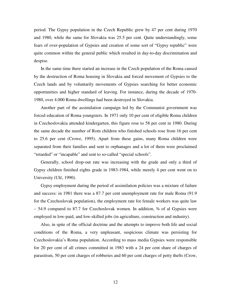period. The Gypsy population in the Czech Republic grew by 47 per cent during 1970 and 1980, while the same for Slovakia was 25.5 per cent. Quite understandingly, some fears of over-population of Gypsies and creation of some sort of "Gypsy republic" were quite common within the general public which resulted in day-to-day discrimination and despise.

In the same time there started an increase in the Czech population of the Roma caused by the destruction of Roma housing in Slovakia and forced movement of Gypsies to the Czech lands and by voluntarily movements of Gypsies searching for better economic opportunities and higher standard of leaving. For instance, during the decade of 1970- 1980, over 4.000 Roma dwellings had been destroyed in Slovakia.

Another part of the assimilation campaign led by the Communist government was forced education of Roma youngsters. In 1971 only 10 per cent of eligible Roma children in Czechoslovakia attended kindergarten, this figure rose to 58 per cent in 1980. During the same decade the number of Rom children who finished schools rose from 16 per cent to 25.6 per cent (Crowe, 1995). Apart from these gains, many Roma children were separated from their families and sent to orphanages and a lot of them were proclaimed "retarded" or "incapable" and sent to so-called "special schools".

Generally, school drop-out rate was increasing with the grade and only a third of Gypsy children finished eights grade in 1983-1984, while merely 4 per cent went on to University (Ulč, 1990).

Gypsy employment during the period of assimilation policies was a mixture of failure and success: in 1981 there was a 87.7 per cent unemployment rate for male Roma (91.9 for the Czechoslovak population), the employment rate for female workers was quite law – 54.9 compared to 87.7 for Czechoslovak women. In addition, ¾ of al Gypsies were employed in low-paid, and low-skilled jobs (in agriculture, construction and industry).

Also, in spite of the official doctrine and the attempts to improve both life and social conditions of the Roma, a very unpleasant, suspicious climate was persisting for Czechoslovakia's Roma population. According to mass media Gypsies were responsible for 20 per cent of all crimes committed in 1983 with a 24 per cent share of charges of parasitism, 50 per cent charges of robberies and 60 per cent charges of petty thefts (Crow,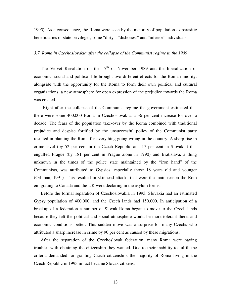1995). As a consequence, the Roma were seen by the majority of population as parasitic beneficiaries of state privileges, some "dirty", "dishonest" and "inferior" individuals.

#### *3.7. Roma in Czechoslovakia after the collapse of the Communist regime in the 1989*

The Velvet Revolution on the  $17<sup>th</sup>$  of November 1989 and the liberalization of economic, social and political life brought two different effects for the Roma minority: alongside with the opportunity for the Roma to form their own political and cultural organizations, a new atmosphere for open expression of the prejudice towards the Roma was created.

 Right after the collapse of the Communist regime the government estimated that there were some 400.000 Roma in Czechoslovakia, a 36 per cent increase for over a decade. The fears of the population take-over by the Roma combined with traditional prejudice and despise fortified by the unsuccessful policy of the Communist party resulted in blaming the Roma for everything going wrong in the country. A sharp rise in crime level (by 52 per cent in the Czech Republic and 17 per cent in Slovakia) that engulfed Prague (by 181 per cent in Prague alone in 1990) and Bratislava, a thing unknown in the times of the police state maintained by the "iron hand" of the Communists, was attributed to Gypsies, especially those 18 years old and younger (Orbman, 1991). This resulted in skinhead attacks that were the main reason the Rom emigrating to Canada and the UK were declaring in the asylum forms.

Before the formal separation of Czechoslovakia in 1993, Slovakia had an estimated Gypsy population of 400.000, and the Czech lands had 150.000. In anticipation of a breakup of a federation a number of Slovak Roma began to move to the Czech lands because they felt the political and social atmosphere would be more tolerant there, and economic conditions better. This sudden move was a surprise for many Czechs who attributed a sharp increase in crime by 90 per cent as caused by these migrations.

After the separation of the Czechoslovak federation, many Roma were having troubles with obtaining the citizenship they wanted. Due to their inability to fulfill the criteria demanded for granting Czech citizenship, the majority of Roma living in the Czech Republic in 1993 in fact became Slovak citizens.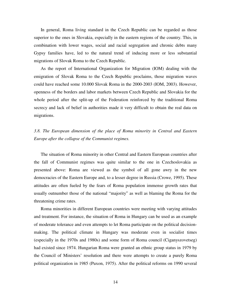In general, Roma living standard in the Czech Republic can be regarded as those superior to the ones in Slovakia, especially in the eastern regions of the country. This, in combination with lower wages, social and racial segregation and chronic debts many Gypsy families have, led to the natural trend of inducing more or less substantial migrations of Slovak Roma to the Czech Republic.

As the report of International Organization for Migration (IOM) dealing with the emigration of Slovak Roma to the Czech Republic proclaims, those migration waves could have reached some 10.000 Slovak Roma in the 2000-2003 (IOM, 2003). However, openness of the borders and labor markets between Czech Republic and Slovakia for the whole period after the split-up of the Federation reinforced by the traditional Roma secrecy and lack of belief in authorities made it very difficult to obtain the real data on migrations.

*3.8. The European dimension of the place of Roma minority in Central and Eastern Europe after the collapse of the Communist regimes.* 

The situation of Roma minority in other Central and Eastern European countries after the fall of Communist regimes was quite similar to the one in Czechoslovakia as presented above: Roma are viewed as the symbol of all gone awry in the new democracies of the Eastern Europe and, to a lesser degree in Russia (Crowe, 1995). These attitudes are often fueled by the fears of Roma population immense growth rates that usually outnumber those of the national "majority" as well as blaming the Roma for the threatening crime rates.

Roma minorities in different European countries were meeting with varying attitudes and treatment. For instance, the situation of Roma in Hungary can be used as an example of moderate tolerance and even attempts to let Roma participate on the political decisionmaking. The political climate in Hungary was moderate even in socialist times (especially in the 1970s and 1980s) and some form of Roma council (Ciganyszovetseg) had existed since 1974. Hungarian Roma were granted an ethnic group status in 1979 by the Council of Ministers' resolution and there were attempts to create a purely Roma political organization in 1985 (Puxon, 1975). After the political reforms on 1990 several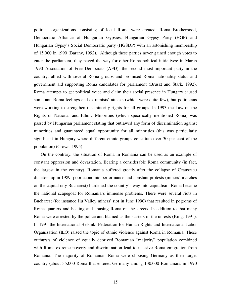political organizations consisting of local Roma were created: Roma Brotherhood, Democratic Alliance of Hungarian Gypsies, Hungarian Gypsy Party (HGP) and Hungarian Gypsy's Social Democratic party (HGSDP) with an astonishing membership of 15.000 in 1990 (Barany, 1992). Although these parties never gained enough votes to enter the parliament, they paved the way for other Roma political initiatives: in March 1990 Association of Free Democrats (AFD), the second most-important party in the country, allied with several Roma groups and promised Roma nationality status and government aid supporting Roma candidates for parliament (Bruszt and Stark, 1992). Roma attempts to get political voice and claim their social presence in Hungary caused some anti-Roma feelings and extremists' attacks (which were quite few), but politicians were working to strengthen the minority rights for all groups. In 1993 the Law on the Rights of National and Ethnic Minorities (which specifically mentioned Roma) was passed by Hungarian parliament stating that outlawed any form of discrimination against minorities and guaranteed equal opportunity for all minorities (this was particularly significant in Hungary where different ethnic groups constitute over 30 per cent of the population) (Crowe, 1995).

On the contrary, the situation of Roma in Romania can be used as an example of constant oppression and devastation. Bearing a considerable Roma community (in fact, the largest in the country), Romania suffered greatly after the collapse of Ceausescu dictatorship in 1989: poor economic performance and constant protests (miners' marches on the capital city Bucharest) burdened the country's way into capitalism. Roma became the national scapegoat for Romania's immense problems. There were several riots in Bucharest (for instance Jiu Valley miners' riot in June 1990) that resulted in pogroms of Roma quarters and beating and abusing Roma on the streets. In addition to that many Roma were arrested by the police and blamed as the starters of the unrests (King, 1991). In 1991 the International Helsinki Federation for Human Rights and International Labor Organization (ILO) raised the topic of ethnic violence against Roma in Romania. These outbursts of violence of equally deprived Romanian "majority" population combined with Roma extreme poverty and discrimination lead to massive Roma emigration from Romania. The majority of Romanian Roma were choosing Germany as their target country (about 35.000 Roma that entered Germany among 130.000 Romanians in 1990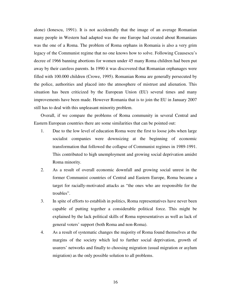alone) (Ionescu, 1991). It is not accidentally that the image of an average Romanian many people in Western had adapted was the one Europe had created about Romanians was the one of a Roma. The problem of Roma orphans in Romania is also a very grim legacy of the Communist regime that no one knows how to solve. Following Ceausescu's decree of 1966 banning abortions for women under 45 many Roma children had been put away by their careless parents. In 1990 it was discovered that Romanian orphanages were filled with 100.000 children (Crowe, 1995). Romanian Roma are generally persecuted by the police, authorities and placed into the atmosphere of mistrust and alienation. This situation has been criticized by the European Union (EU) several times and many improvements have been made. However Romania that is to join the EU in January 2007 still has to deal with this unpleasant minority problem.

Overall, if we compare the problems of Roma community in several Central and Eastern European countries there are some similarities that can be pointed out:

- 1. Due to the low level of education Roma were the first to loose jobs when large socialist companies were downsizing at the beginning of economic transformation that followed the collapse of Communist regimes in 1989-1991. This contributed to high unemployment and growing social deprivation amidst Roma minority.
- 2. As a result of overall economic downfall and growing social unrest in the former Communist countries of Central and Eastern Europe, Roma became a target for racially-motivated attacks as "the ones who are responsible for the troubles".
- 3. In spite of efforts to establish in politics, Roma representatives have never been capable of putting together a considerable political force. This might be explained by the lack political skills of Roma representatives as well as lack of general voters' support (both Roma and non-Roma).
- 4. As a result of systematic changes the majority of Roma found themselves at the margins of the society which led to further social deprivation, growth of usurers' networks and finally to choosing migration (usual migration or asylum migration) as the only possible solution to all problems.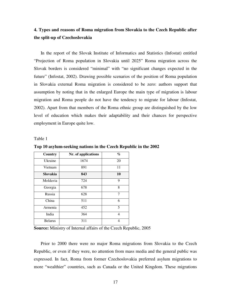### **4. Types and reasons of Roma migration from Slovakia to the Czech Republic after the split-up of Czechoslovakia**

In the report of the Slovak Institute of Informatics and Statistics (Infostat) entitled "Projection of Roma population in Slovakia until 2025" Roma migration across the Slovak borders is considered "minimal" with "no significant changes expected in the future" (Infostat, 2002). Drawing possible scenarios of the position of Roma population in Slovakia external Roma migration is considered to be zero: authors support that assumption by noting that in the enlarged Europe the main type of migration is labour migration and Roma people do not have the tendency to migrate for labour (Infostat, 2002). Apart from that members of the Roma ethnic group are distinguished by the low level of education which makes their adaptability and their chances for perspective employment in Europe quite low.

Table 1

| Country        | Nr. of applications | $\%$ |
|----------------|---------------------|------|
| Ukraine        | 1674                | 20   |
| Vietnam        | 891                 | 11   |
| Slovakia       | 843                 | 10   |
| Moldavia       | 724                 | 9    |
| Georgia        | 678                 | 8    |
| Russia         | 628                 | 7    |
| China          | 511                 | 6    |
| Armenia        | 452                 | 5    |
| India          | 364                 | 4    |
| <b>Belarus</b> | 311                 | 4    |

**Top 10 asylum-seeking nations in the Czech Republic in the 2002** 

**Source:** Ministry of Internal affairs of the Czech Republic, 2005

Prior to 2000 there were no major Roma migrations from Slovakia to the Czech Republic, or even if they were, no attention from mass media and the general public was expressed. In fact, Roma from former Czechoslovakia preferred asylum migrations to more "wealthier" countries, such as Canada or the United Kingdom. These migrations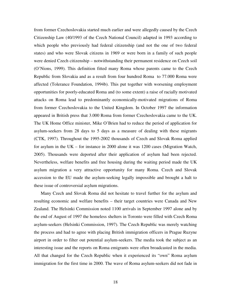from former Czechoslovakia started much earlier and were allegedly caused by the Czech Citizenship Law (40/1993 of the Czech National Council) adapted in 1993 according to which people who previously had federal citizenship (and not the one of two federal states) and who were Slovak citizens in 1969 or were born in a family of such people were denied Czech citizenship – notwithstanding their permanent residence on Czech soil (O'Nions, 1999). This definition fitted many Roma whose parents came to the Czech Republic from Slovakia and as a result from four hundred Roma to 77.000 Roma were affected (Tolerance Foundation, 1994b). This put together with worsening employment opportunities for poorly-educated Roma and (to some extent) a raise of racially motivated attacks on Roma lead to predominantly economically-motivated migrations of Roma from former Czechoslovakia to the United Kingdom. In October 1997 the information appeared in British press that 3.000 Roma from former Czechoslovakia came to the UK. The UK Home Office minister, Mike O'Brien had to reduce the period of application for asylum-seekers from 28 days to 5 days as a measure of dealing with these migrants (CTK, 1997). Throughout the 1995-2002 thousands of Czech and Slovak Roma applied for asylum in the UK – for instance in 2000 alone it was 1200 cases (Migration Watch, 2005). Thousands were deported after their application of asylum had been rejected. Nevertheless, welfare benefits and free housing during the waiting period made the UK asylum migration a very attractive opportunity for many Roma. Czech and Slovak accession to the EU made the asylum-seeking legally impossible and brought a halt to these issue of controversial asylum migrations.

Many Czech and Slovak Roma did not hesitate to travel further for the asylum and resulting economic and welfare benefits – their target countries were Canada and New Zealand. The Helsinki Commission noted 1100 arrivals in September 1997 alone and by the end of August of 1997 the homeless shelters in Toronto were filled with Czech Roma asylum-seekers (Helsinki Commission, 1997). The Czech Republic was merely watching the process and had to agree with placing British immigration officers in Prague Ruzyne airport in order to filter out potential asylum-seekers. The media took the subject as an interesting issue and the reports on Roma emigrants were often broadcasted in the media. All that changed for the Czech Republic when it experienced its "own" Roma asylum immigration for the first time in 2000. The wave of Roma asylum-seekers did not fade in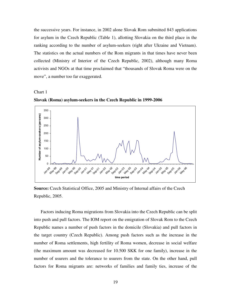the successive years. For instance, in 2002 alone Slovak Rom submitted 843 applications for asylum in the Czech Republic (Table 1), allotting Slovakia on the third place in the ranking according to the number of asylum-seekers (right after Ukraine and Vietnam). The statistics on the actual numbers of the Rom migrants in that times have never been collected (Ministry of Interior of the Czech Republic, 2002), although many Roma activists and NGOs at that time proclaimed that "thousands of Slovak Roma were on the move", a number too far exaggerated.



**Slovak (Roma) asylum-seekers in the Czech Republic in 1999-2006** 



**Source:** Czech Statistical Office, 2005 and Ministry of Internal affairs of the Czech Republic, 2005.

Factors inducing Roma migrations from Slovakia into the Czech Republic can be split into push and pull factors. The IOM report on the emigration of Slovak Rom to the Czech Republic names a number of push factors in the domicile (Slovakia) and pull factors in the target country (Czech Republic). Among push factors such as the increase in the number of Roma settlements, high fertility of Roma women, decrease in social welfare (the maximum amount was decreased for 10.500 SKK for one family), increase in the number of usurers and the tolerance to usurers from the state. On the other hand, pull factors for Roma migrants are: networks of families and family ties, increase of the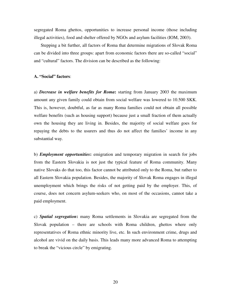segregated Roma ghettos, opportunities to increase personal income (those including illegal activities), food and shelter offered by NGOs and asylum facilities (IOM, 2003).

Stepping a bit further, all factors of Roma that determine migrations of Slovak Roma can be divided into three groups: apart from economic factors there are so-called "social" and "cultural" factors. The division can be described as the following:

#### **A. "Social" factors**:

a) *Decrease in welfare benefits for Roma***:** starting from January 2003 the maximum amount any given family could obtain from social welfare was lowered to 10.500 SKK. This is, however, doubtful, as far as many Roma families could not obtain all possible welfare benefits (such as housing support) because just a small fraction of them actually own the housing they are living in. Besides, the majority of social welfare goes for repaying the debts to the usurers and thus do not affect the families' income in any substantial way.

b) *Employment opportunities***:** emigration and temporary migration in search for jobs from the Eastern Slovakia is not just the typical feature of Roma community. Many native Slovaks do that too, this factor cannot be attributed only to the Roma, but rather to all Eastern Slovakia population. Besides, the majority of Slovak Roma engages in illegal unemployment which brings the risks of not getting paid by the employer. This, of course, does not concern asylum-seekers who, on most of the occasions, cannot take a paid employment.

c) *Spatial segregation***:** many Roma settlements in Slovakia are segregated from the Slovak population – there are schools with Roma children, ghettos where only representatives of Roma ethnic minority live, etc. In such environment crime, drugs and alcohol are vivid on the daily basis. This leads many more advanced Roma to attempting to break the "vicious circle" by emigrating.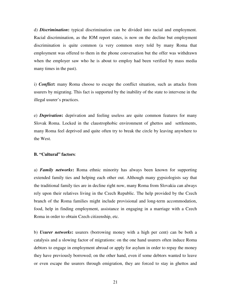d) *Discrimination***:** typical discrimination can be divided into racial and employment. Racial discrimination, as the IOM report states, is now on the decline but employment discrimination is quite common (a very common story told by many Roma that employment was offered to them in the phone conversation but the offer was withdrawn when the employer saw who he is about to employ had been verified by mass media many times in the past).

i) *Conflict***:** many Roma choose to escape the conflict situation, such as attacks from usurers by migrating. This fact is supported by the inability of the state to intervene in the illegal usurer's practices.

e) *Deprivation***:** deprivation and feeling useless are quite common features for many Slovak Roma. Locked in the claustrophobic environment of ghettos and settlements, many Roma feel deprived and quite often try to break the circle by leaving anywhere to the West.

#### **B. "Cultural" factors**:

a) *Family networks***:** Roma ethnic minority has always been known for supporting extended family ties and helping each other out. Although many gypsiologists say that the traditional family ties are in decline right now, many Roma from Slovakia can always rely upon their relatives living in the Czech Republic. The help provided by the Czech branch of the Roma families might include provisional and long-term accommodation, food, help in finding employment, assistance in engaging in a marriage with a Czech Roma in order to obtain Czech citizenship, etc.

b) *Usurer networks***:** usurers (borrowing money with a high per cent) can be both a catalysis and a slowing factor of migrations: on the one hand usurers often induce Roma debtors to engage in employment abroad or apply for asylum in order to repay the money they have previously borrowed; on the other hand, even if some debtors wanted to leave or even escape the usurers through emigration, they are forced to stay in ghettos and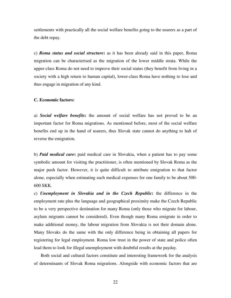settlements with practically all the social welfare benefits going to the usurers as a part of the debt repay.

c) *Roma status and social structure***:** as it has been already said in this paper, Roma migration can be characterised as the migration of the lower middle strata. While the upper-class Roma do not need to improve their social status (they benefit from living in a society with a high return to human capital), lower-class Roma have nothing to lose and thus engage in migration of any kind.

#### **C. Economic factors:**

a) *Social welfare benefits***:** the amount of social welfare has not proved to be an important factor for Roma migrations. As mentioned before, most of the social welfare benefits end up in the hand of usurers, thus Slovak state cannot do anything to halt of reverse the emigration.

b) *Paid medical care***:** paid medical care in Slovakia, when a patient has to pay some symbolic amount for visiting the practitioner, is often mentioned by Slovak Roma as the major push factor. However, it is quite difficult to attribute emigration to that factor alone, especially when estimating such medical expenses for one family to be about 500- 600 SKK.

c) *Unemployment in Slovakia and in the Czech Republic***:** the difference in the employment rate plus the language and geographical proximity make the Czech Republic to be a very perspective destination for many Roma (only those who migrate for labour, asylum migrants cannot be considered). Even though many Roma emigrate in order to make additional money, the labour migration from Slovakia is not their domain alone. Many Slovaks do the same with the only difference being in obtaining all papers for registering for legal employment. Roma low trust in the power of state and police often lead them to look for illegal unemployment with doubtful results at the payday.

Both social and cultural factors constitute and interesting framework for the analysis of determinants of Slovak Roma migrations. Alongside with economic factors that are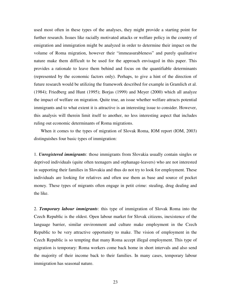used most often in these types of the analyses, they might provide a starting point for further research. Issues like racially motivated attacks or welfare policy in the country of emigration and immigration might be analyzed in order to determine their impact on the volume of Roma migration, however their "immeasurableness" and purely qualitative nature make them difficult to be used for the approach envisaged in this paper. This provides a rationale to leave them behind and focus on the quantifiable determinants (represented by the economic factors only). Perhaps, to give a hint of the direction of future research would be utilizing the framework described for example in Gramlich et al. (1984); Friedberg and Hunt (1995); Borjas (1999) and Meyer (2000) which all analyze the impact of welfare on migration. Quite true, an issue whether welfare attracts potential immigrants and to what extent it is attractive is an interesting issue to consider. However, this analysis will therein limit itself to another, no less interesting aspect that includes ruling out economic determinants of Roma migrations.

When it comes to the types of migration of Slovak Roma, IOM report (IOM, 2003) distinguishes four basic types of immigration:

1. *Unregistered immigrants*: those immigrants from Slovakia usually contain singles or deprived individuals (quite often teenagers and orphanage-leavers) who are not interested in supporting their families in Slovakia and thus do not try to look for employment. These individuals are looking for relatives and often use them as base and source of pocket money. These types of migrants often engage in petit crime: stealing, drug dealing and the like.

2. *Temporary labour immigrants*: this type of immigration of Slovak Roma into the Czech Republic is the oldest. Open labour market for Slovak citizens, inexistence of the language barrier, similar environment and culture make employment in the Czech Republic to be very attractive opportunity to make. The vision of employment in the Czech Republic is so tempting that many Roma accept illegal employment. This type of migration is temporary: Roma workers come back home in short intervals and also send the majority of their income back to their families. In many cases, temporary labour immigration has seasonal nature.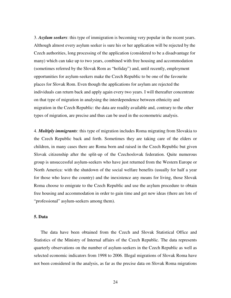3. *Asylum seekers*: this type of immigration is becoming very popular in the recent years. Although almost every asylum seeker is sure his or her application will be rejected by the Czech authorities, long processing of the application (considered to be a disadvantage for many) which can take up to two years, combined with free housing and accommodation (sometimes referred by the Slovak Rom as "holiday") and, until recently, employment opportunities for asylum-seekers make the Czech Republic to be one of the favourite places for Slovak Rom. Even though the applications for asylum are rejected the individuals can return back and apply again every two years. I will thereafter concentrate on that type of migration in analysing the interdependence between ethnicity and migration in the Czech Republic: the data are readily available and, contrary to the other types of migration, are precise and thus can be used in the econometric analysis.

4. *Multiply immigrants*: this type of migration includes Roma migrating from Slovakia to the Czech Republic back and forth. Sometimes they are taking care of the elders or children, in many cases there are Roma born and raised in the Czech Republic but given Slovak citizenship after the split-up of the Czechoslovak federation. Quite numerous group is unsuccessful asylum-seekers who have just returned from the Western Europe or North America: with the shutdown of the social welfare benefits (usually for half a year for those who leave the country) and the inexistence any means for living, those Slovak Roma choose to emigrate to the Czech Republic and use the asylum procedure to obtain free housing and accommodation in order to gain time and get new ideas (there are lots of "professional" asylum-seekers among them).

#### **5. Data**

The data have been obtained from the Czech and Slovak Statistical Office and Statistics of the Ministry of Internal affairs of the Czech Republic. The data represents quarterly observations on the number of asylum-seekers in the Czech Republic as well as selected economic indicators from 1998 to 2006. Illegal migrations of Slovak Roma have not been considered in the analysis, as far as the precise data on Slovak Roma migrations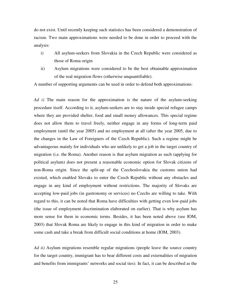do not exist. Until recently keeping such statistics has been considered a demonstration of racism. Two main approximations were needed to be done in order to proceed with the analysis:

- i) All asylum-seekers from Slovakia in the Czech Republic were considered as those of Roma origin
- ii) Asylum migrations were considered to be the best obtainable approximation of the real migration flows (otherwise unquantifiable).

A number of supporting arguments can be used in order to defend both approximations:

*Ad i)* The main reason for the approximation is the nature of the asylum-seeking procedure itself. According to it, asylum-seekers are to stay inside special refugee camps where they are provided shelter, food and small money allowances. This special regime does not allow them to travel freely, neither engage in any forms of long-term paid employment (until the year 2005) and no employment at all (after the year 2005, due to the changes in the Law of Foreigners of the Czech Republic). Such a regime might be advantageous mainly for individuals who are unlikely to get a job in the target country of migration (i.e. the Roma). Another reason is that asylum migration as such (applying for political asylum) does not present a reasonable economic option for Slovak citizens of non-Roma origin. Since the split-up of the Czechoslovakia the customs union had existed, which enabled Slovaks to enter the Czech Republic without any obstacles and engage in any kind of employment without restrictions. The majority of Slovaks are accepting low-paid jobs (in gastronomy or services) no Czechs are willing to take. With regard to this, it can be noted that Roma have difficulties with getting even low-paid jobs (the issue of employment discrimination elaborated on earlier). That is why asylum has more sense for them in economic terms. Besides, it has been noted above (see IOM, 2003) that Slovak Roma are likely to engage in this kind of migration in order to make some cash and take a break from difficult social conditions at home (IOM, 2003).

*Ad ii)* Asylum migrations resemble regular migrations (people leave the source country for the target country, immigrant has to bear different costs and externalities of migration and benefits from immigrants' networks and social ties). In fact, it can be described as the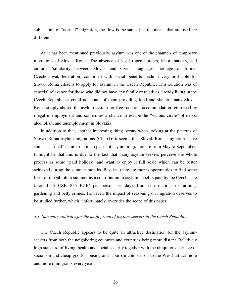sub-section of "normal" migration, the flow is the same, just the means that are used are different.

As it has been mentioned previously, asylum was one of the channels of temporary migrations of Slovak Roma. The absence of legal (open borders, labor markets) and cultural (similarity between Slovak and Czech languages, heritage of former Czechoslovak federation) combined with social benefits made it very profitable for Slovak Roma citizens to apply for asylum in the Czech Republic. This solution was of especial relevance for those who did not have any family or relatives already living in the Czech Republic or could not count of them providing food and shelter: many Slovak Roma simply abused the asylum system for free food and accommodation reinforced by illegal unemployment and sometimes a chance to escape the "vicious circle" of debts, alcoholism and unemployment in Slovakia.

In addition to that, another interesting thing occurs when looking at the patterns of Slovak Roma asylum migrations (Chart1): it seems that Slovak Roma migrations have some "seasonal" nature: the main peaks of asylum migration are from May to September. It might be that this is due to the fact that many asylum-seekers perceive the whole process as some "paid holiday" and want to enjoy it full scale which can be better achieved during the summer months. Besides, there are more opportunities to find some form of illegal job in summer as a contribution to asylum benefits paid by the Czech state (around 15 CZK (0.5 EUR) per person per day): from constructions to farming, gardening and petty crimes. However, the impact of seasoning on migration deserves to be studied further, which, unfortunately, overrides the scope of this paper.

#### *5.1. Summary statistics for the main group of asylum-seekers in the Czech Republic.*

The Czech Republic appears to be quite an attractive destination for the asylumseekers from both the neighboring countries and countries being more distant. Relatively high standard of living, health and social security together with the ubiquitous heritage of socialism and cheap goods, housing and labor (in comparison to the West) attract more and more immigrants every year.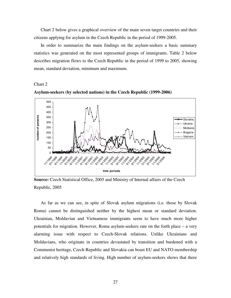Chart 2 below gives a graphical overview of the main seven target countries and their citizens applying for asylum in the Czech Republic in the period of 1999-2005.

In order to summarize the main findings on the asylum-seekers a basic summary statistics was generated on the most represented groups of immigrants. Table 2 below describes migration flows to the Czech Republic in the period of 1999 to 2005, showing mean, standard deviation, minimum and maximum.

#### Chart 2



**Asylum-seekers (by selected nations) in the Czech Republic (1999-2006)** 

**Source:** Czech Statistical Office, 2005 and Ministry of Internal affairs of the Czech Republic, 2005

As far as we can see, in spite of Slovak asylum migrations (i.e. those by Slovak Roma) cannot be distinguished neither by the highest mean or standard deviation. Ukrainian, Moldavian and Vietnamese immigrants seem to have much more higher potentials for migration. However, Roma asylum-seekers rate on the forth place – a very alarming issue with respect to Czech-Slovak relations. Unlike Ukrainians and Moldavians, who originate in countries devastated by transition and burdened with a Communist heritage, Czech Republic and Slovakia can boast EU and NATO membership and relatively high standards of living. High number of asylum-seekers shows that there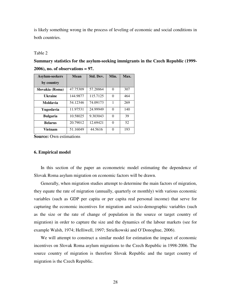is likely something wrong in the process of leveling of economic and social conditions in both countries.

#### Table 2

**Summary statistics for the asylum-seeking immigrants in the Czech Republic (1999- 2006), no. of observations = 97.**

| <b>Asylum-seekers</b> | <b>Mean</b> | Std. Dev. | Min.     | Max. |
|-----------------------|-------------|-----------|----------|------|
| by country            |             |           |          |      |
| Slovakia (Roma)       | 47.75309    | 57.28864  | 0        | 307  |
| Ukraine               | 144.9877    | 115.7125  | $\theta$ | 464  |
| Moldavia              | 54.12346    | 74.09173  | 1        | 269  |
| Yugoslavia            | 11.97531    | 24.99949  | $\Omega$ | 140  |
| <b>Bulgaria</b>       | 10.58025    | 9.303043  | $\Omega$ | 39   |
| <b>Belarus</b>        | 20.79012    | 12.69421  | $\Omega$ | 52   |
| Vietnam               | 51.16049    | 44.5616   | ∩        | 193  |

**Source:** Own estimations

#### **6. Empirical model**

In this section of the paper an econometric model estimating the dependence of Slovak Roma asylum migration on economic factors will be drawn.

Generally, when migration studies attempt to determine the main factors of migration, they equate the rate of migration (annually, quarterly or monthly) with various economic variables (such as GDP per capita or per capita real personal income) that serve for capturing the economic incentives for migration and socio-demographic variables (such as the size or the rate of change of population in the source or target country of migration) in order to capture the size and the dynamics of the labour markets (see for example Walsh, 1974; Helliwell, 1997; Strielkowski and O'Donoghue, 2006).

We will attempt to construct a similar model for estimation the impact of economic incentives on Slovak Roma asylum migrations to the Czech Republic in 1998-2006. The source country of migration is therefore Slovak Republic and the target country of migration is the Czech Republic.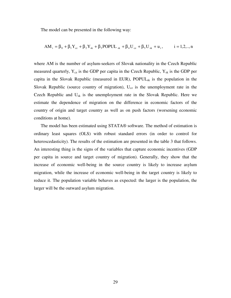The model can be presented in the following way:

$$
AM_{i} = \beta_{0} + \beta_{1}Y_{cz} + \beta_{2}Y_{sk} + \beta_{3}POPUL_{sk} + \beta_{4}U_{cz} + \beta_{5}U_{sk} + u_{i}, \qquad i = 1, 2, ..., n
$$

where AM is the number of asylum-seekers of Slovak nationality in the Czech Republic measured quarterly,  $Y_{cz}$  is the GDP per capita in the Czech Republic,  $Y_{sk}$  is the GDP per capita in the Slovak Republic (measured in EUR),  $POPUL_{sk}$  is the population in the Slovak Republic (source country of migration),  $U_{cz}$  is the unemployment rate in the Czech Republic and  $U_{sk}$  is the unemployment rate in the Slovak Republic. Here we estimate the dependence of migration on the difference in economic factors of the country of origin and target country as well as on push factors (worsening economic conditions at home).

The model has been estimated using STATA® software. The method of estimation is ordinary least squares (OLS) with robust standard errors (in order to control for heteroscedasticity). The results of the estimation are presented in the table 3 that follows. An interesting thing is the signs of the variables that capture economic incentives (GDP per capita in source and target country of migration). Generally, they show that the increase of economic well-being in the source country is likely to increase asylum migration, while the increase of economic well-being in the target country is likely to reduce it. The population variable behaves as expected: the larger is the population, the larger will be the outward asylum migration.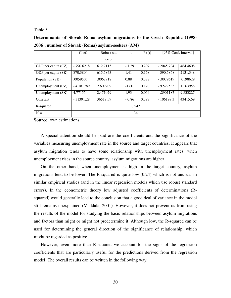#### Table 3

|                     | Coef.       | Robust std. |         | P > [t] | [95% Conf. Interval] |          |
|---------------------|-------------|-------------|---------|---------|----------------------|----------|
|                     |             | error       |         |         |                      |          |
| GDP per capita (CZ) | $-790.6218$ | 612.7115    | $-1.29$ | 0.207   | $-2045.704$          | 464,4608 |
| GDP per capita (SK) | 870.3804    | 615.5843    | 1.41    | 0.168   | $-390.5868$          | 2131.348 |
| Population (SK)     | .0059505    | .0067918    | 0.88    | 0.388   | $-.0079619$          | .0198629 |
| Unemployment (CZ)   | $-4.181789$ | 2.609709    | $-1.60$ | 0.120   | $-9.527535$          | 1.163958 |
| Unemployment (SK)   | 4.771554    | 2.471029    | 1.93    | 0.064   | $-.2901187$          | 9.833227 |
| Constant            | $-31391.28$ | 36519.59    | $-0.86$ | 0.397   | $-106198.3$          | 43415.69 |
| R-squared           | 0.242       |             |         |         |                      |          |
| $N =$               | 34          |             |         |         |                      |          |

**Determinants of Slovak Roma asylum migrations to the Czech Republic (1998- 2006), number of Slovak (Roma) asylum-seekers (AM)** 

**Source:** own estimations

A special attention should be paid are the coefficients and the significance of the variables measuring unemployment rate in the source and target countries. It appears that asylum migration tends to have some relationship with unemployment rates: when unemployment rises in the source country, asylum migrations are higher.

On the other hand, when unemployment is high in the target country, asylum migrations tend to be lower. The R-squared is quite low (0.24) which is not unusual in similar empirical studies (and in the linear regression models which use robust standard errors). In the econometric theory low adjusted coefficients of determinations (Rsquared) would generally lead to the conclusion that a good deal of variance in the model still remains unexplained (Maddala, 2001). However, it does not prevent us from using the results of the model for studying the basic relationships between asylum migrations and factors than might or might not predetermine it. Although low, the R-squared can be used for determining the general direction of the significance of relationship, which might be regarded as positive.

However, even more than R-squared we account for the signs of the regression coefficients that are particularly useful for the predictions derived from the regression model. The overall results can be written in the following way: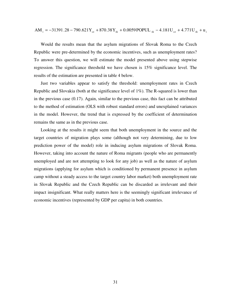<sup>i</sup> cz sk sk cz sk <sup>i</sup> AM = −31391 28. − 790.621Y + 870 38. Y + .0 0059POPUL − .4 181U + .4 771U + u

Would the results mean that the asylum migrations of Slovak Roma to the Czech Republic were pre-determined by the economic incentives, such as unemployment rates? To answer this question, we will estimate the model presented above using stepwise regression. The significance threshold we have chosen is 15% significance level. The results of the estimation are presented in table 4 below.

Just two variables appear to satisfy the threshold: unemployment rates in Czech Republic and Slovakia (both at the significance level of 1%). The R-squared is lower than in the previous case (0.17). Again, similar to the previous case, this fact can be attributed to the method of estimation (OLS with robust standard errors) and unexplained variances in the model. However, the trend that is expressed by the coefficient of determination remains the same as in the previous case.

Looking at the results it might seem that both unemployment in the source and the target countries of migration plays some (although not very determining, due to low prediction power of the model) role in inducing asylum migrations of Slovak Roma. However, taking into account the nature of Roma migrants (people who are permanently unemployed and are not attempting to look for any job) as well as the nature of asylum migrations (applying for asylum which is conditioned by permanent presence in asylum camp without a steady access to the target country labor market) both unemployment rate in Slovak Republic and the Czech Republic can be discarded as irrelevant and their impact insignificant. What really matters here is the seemingly significant irrelevance of economic incentives (represented by GDP per capita) in both countries.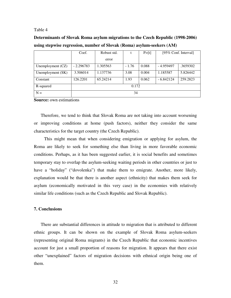#### Table 4

| Determinants of Slovak Roma asylum migrations to the Czech Republic (1998-2006) |
|---------------------------------------------------------------------------------|
| using stepwise regression, number of Slovak (Roma) asylum-seekers (AM)          |

|                   | Coef.       | Robust std. |         | P > [t] | [95% Conf. Interval] |          |
|-------------------|-------------|-------------|---------|---------|----------------------|----------|
|                   |             | error       |         |         |                      |          |
| Unemployment (CZ) | $-2.296783$ | 1.305563    | $-1.76$ | 0.088   | $-4.959497$          | .3659302 |
| Unemployment (SK) | 3.506014    | 1.137736    | 3.08    | 0.004   | 1.185587             | 5.826442 |
| Constant          | 126.2201    | 65.24214    | 1.93    | 0.062   | $-6.842124$          | 259.2823 |
| R-squared         | 0.172       |             |         |         |                      |          |
| $N =$             | 34          |             |         |         |                      |          |

**Source:** own estimations

Therefore, we tend to think that Slovak Roma are not taking into account worsening or improving conditions at home (push factors), neither they consider the same characteristics for the target country (the Czech Republic).

This might mean that when considering emigration or applying for asylum, the Roma are likely to seek for something else than living in more favorable economic conditions. Perhaps, as it has been suggested earlier, it is social benefits and sometimes temporary stay to overlap the asylum-seeking waiting periods in other countries or just to have a "holiday" ("dovolenka") that make them to emigrate. Another, more likely, explanation would be that there is another aspect (ethnicity) that makes them seek for asylum (economically motivated in this very case) in the economies with relatively similar life conditions (such as the Czech Republic and Slovak Republic).

#### **7. Conclusions**

There are substantial differences in attitude to migration that is attributed to different ethnic groups. It can be shown on the example of Slovak Roma asylum-seekers (representing original Roma migrants) in the Czech Republic that economic incentives account for just a small proportion of reasons for migration. It appears that there exist other "unexplained" factors of migration decisions with ethnical origin being one of them.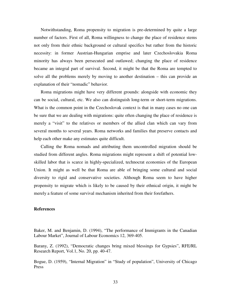Notwithstanding, Roma propensity to migration is pre-determined by quite a large number of factors. First of all, Roma willingness to change the place of residence stems not only from their ethnic background or cultural specifics but rather from the historic necessity: in former Austrian-Hungarian emprise and later Czechoslovakia Roma minority has always been persecuted and outlawed; changing the place of residence became an integral part of survival. Second, it might be that the Roma are tempted to solve all the problems merely by moving to another destination – this can provide an explanation of their "nomadic" behavior.

Roma migrations might have very different grounds: alongside with economic they can be social, cultural, etc. We also can distinguish long-term or short-term migrations. What is the common point in the Czechoslovak context is that in many cases no one can be sure that we are dealing with migrations: quite often changing the place of residence is merely a "visit" to the relatives or members of the allied clan which can vary from several months to several years. Roma networks and families that preserve contacts and help each other make any estimates quite difficult.

Calling the Roma nomads and attributing them uncontrolled migration should be studied from different angles. Roma migrations might represent a shift of potential lowskilled labor that is scarce in highly-specialized, technocrat economies of the European Union. It might as well be that Roma are able of bringing some cultural and social diversity to rigid and conservative societies. Although Roma seem to have higher propensity to migrate which is likely to be caused by their ethnical origin, it might be merely a feature of some survival mechanism inherited from their forefathers.

#### **References**

Baker, M. and Benjamin, D. (1994), "The performance of Immigrants in the Canadian Labour Market", Journal of Labour Economics 12, 369-405.

Barany, Z. (1992), "Democratic changes bring mixed blessings for Gypsies", RFE/RL Research Report, Vol.1, No. 20, pp. 40-47.

Bogue, D. (1959), "Internal Migration" in "Study of population", University of Chicago Press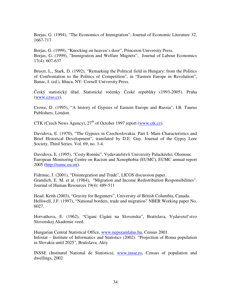Borjas, G. (1994), "The Economics of Immigration", Journal of Economic Literature 32, 1667-717

Borjas, G. (1999), "Knocking on heaven's door", Princeton University Press. Borjas, G. (1999), "Immigration and Welfare Magnets", Journal of Labour Economics 17(4): 607-637

Bruszt, L., Stark, D. (1992), "Remarking the Political field in Hungary: from the Politics of Confrontation to the Politics of Competition", in "Eastern Europe in Revolution", Banac, I. (ed.), Ithaca, NY: Cornell University Press.

Český statistický úřad. Statistické ročenky České republiky (1993-2005). Praha (www.czso.cz).

Crowe, D. (1995), "A history of Gypsies of Eastern Europe and Russia", I.B. Taurus Publishers, London.

CTK (Czech News Agency),  $27<sup>th</sup>$  of October 1997 report (www.ctk.cz).

Davidova, E. (1970), "The Gypsies in Czechoslovakia. Part I: Main Characteristics and Brief Historical Development", translated by D.E. Guy. Journal of the Gypsy Lore Society, Third Series. Vol. 69, no. 3-4.

Davidova, E. (1995), "Cesty Romůu", Vydavatelstvíi Univerzity Palackéeho, Olomouc European Monitoring Centre on Racism and Xenophobia (EUMC), EUMC annual report 2005 (http://eumc.eu.int).

Fidrmuc, J. (2001), "Disintegration and Trade", LICOS discussion paper. Gramlich, E. M. et al. (1984), "Migration and Income Redistribution Responsibilities". Journal of Human Resources 19(4): 489-511

Head, Keith (2003), "Gravity for Beginners", University of British Columbia, Canada. Helliwell, J.F. (1997), "National borders, trade and migration" NBER Working paper No. 6027.

Horvathova, E. (1962), "Cigani Cigáni na Slovensku", Bratislava, Vydavetel'stvo Slovenskej Akademie veed.

Hungarian Central Statistical Office, www.nepszamlalas.hu, Census 2001. Infostat – Institute of Informatics and Statistics (2002): "Projection of Roma population in Slovakia until 2025", Bratislava, Akty

INSSE (Institutul National de Statistica), www.insse.ro, Census of population and dwellings, 2002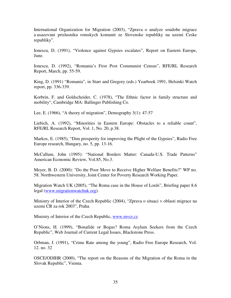International Organization for Migration (2003), "Zprava o analyze soudobe migrace a usazovani prislusniku romskych komunit ze Slovenske republiky na uzemi Ceske republiky".

Ionescu, D. (1991), "Violence against Gypsies escalates", Report on Eastern Europe, June.

Ionescu, D. (1992), "Romania's First Post Communist Census", RFE/RL Research Report, March, pp. 55-59.

King, D. (1991) "Romania", in Starr and Gregory (eds.) Yearbook 1991, Helsinki Watch report, pp. 336-339.

Korbrin, F. and Goldscheider, C. (1978), "The Ethnic factor in family structure and mobility", Cambridge MA: Ballinger Publishing Co.

Lee, E. (1966), "A theory of migration", Demography 3(1): 47-57

Liebich, A. (1992), "Minorities in Eastern Europe: Obstacles to a reliable count", RFE/RL Research Report, Vol. 1, No. 20, p.38.

Markos, E. (1985), "Dim prosperity for improving the Plight of the Gypsies", Radio Free Europe research, Hungary, no. 5, pp. 13-16.

McCallum, John (1995): "National Borders Matter: Canada-U.S. Trade Patterns" American Economic Review, Vol.85, No.3.

Meyer, B. D. (2000): "Do the Poor Move to Receive Higher Welfare Benefits?" WP no. 58. Northwestern University, Joint Center for Poverty Research Working Paper.

Migration Watch UK (2005), "The Roma case in the House of Lords", Briefing paper 8.6 legal (www.migrationwatchuk.org).

Ministry of Interior of the Czech Republic (2004), "Zprava o situaci v oblasti migrace na uzemi CR za rok 2003", Praha

Ministry of Interior of the Czech Republic, www.mvcr.cz

O'Nions, H. (1999), "Bonafide or Bogus? Roma Asylum Seekers from the Czech Republic", Web Journal of Current Legal Issues, Blackstone Press.

Orbman, J. (1991), "Crime Rate among the young", Radio Free Europe Research, Vol. 12. no. 32

OSCE/ODIHR (2000), "The report on the Reasons of the Migration of the Roma in the Slovak Republic", Vienna.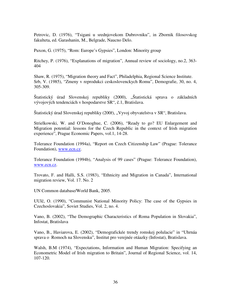Petrovic, D. (1976), "Tsigani u srednjovekom Dubrovniku", in Zbornik filosovskog fakulteta, ed. Garashanin, M., Belgrade, Naucno Delo.

Puxon, G. (1975), "Rom: Europe's Gypsies", London: Minority group

Ritchey, P. (1976), "Explanations of migration", Annual review of sociology, no.2, 363- 404

Shaw, R. (1975), "Migration theory and Fact", Philadelphia, Regional Science Institute. Srb, V. (1985), "Zmeny v reprodukci ceskoslovenckych Romu", Demografie, 30, no. 4, 305-309.

Štatistický úrad Slovenskej republiky (2000), "Štatistická sprava o základních vývojových tendenciách v hospodarstve SR", č.1, Bratislava.

Štatistický úrad Slovenskej republiky (200ř), "Vyvoj obyvatelstva v SR", Bratislava.

Strielkowski, W. and O'Donoghue, C. (2006), "Ready to go? EU Enlargement and Migration potential: lessons for the Czech Republic in the context of Irish migration experience", Prague Economic Papers, vol.1, 14-28.

Tolerance Foundation (1994a), "Report on Czech Citizenship Law" (Prague: Tolerance Foundation), www.ecn.cz.

Tolerance Foundation (1994b), "Analysis of 99 cases" (Prague: Tolerance Foundation), www.ecn.cz.

Trovato, F. and Halli, S.S. (1983), "Ethnicity and Migration in Canada", International migration review, Vol. 17. No. 2

UN Common database/World Bank, 2005.

UUlč, O. (1990), "Communist National Minority Policy: The case of the Gypsies in Czechoslovakia", Soviet Studies, Vol. 2, no. 4.

Vano, B. (2002), "The Demographic Characteristics of Roma Population in Slovakia", Infostat, Bratislava

Vano, B., Haviarova, E. (2002), "Demografickée trendy romskej polulacie" in "Uhrnáa sprava o Romoch na Slovensku", Institut pro verejnée otáazky (Infostat), Bratislava.

Walsh, B.M (1974), "Expectations, Information and Human Migration: Specifying an Econometric Model of Irish migration to Britain", Journal of Regional Science, vol. 14, 107-120.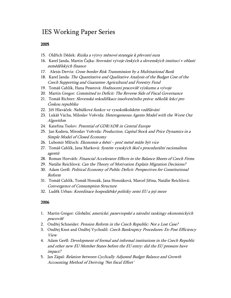## IES Working Paper Series

#### 2005

- 15. Oldřich Dědek: Rizika a výzvy měnové strategie k převzetí eura
- 16. Karel Janda, Martin Čajka: Srovnání vývoje českých a slovenských institucí v oblasti zemědělských finance
- 17. Alexis Derviz: Cross-border Risk Transmission by a Multinational Bank
- 18. Karel Janda: The Quantitative and Qualitative Analysis of the Budget Cost of the Czech Supporting and Guarantee Agricultural and Forestry Fund
- 19. Tomáš Cahlík, Hana Pessrová: Hodnocení pracovišť výzkumu a vývoje
- 20. Martin Gregor: Committed to Deficit: The Reverse Side of Fiscal Governance
- 21. Tomáš Richter: Slovenská rekodifikace insolvenčního práva: několik lekcí pro Českou republiku
- 22. Jiří Hlaváček: Nabídková funkce ve vysokoškolském vzdělávání
- 23. Lukáš Vácha, Miloslav Vošvrda: Heterogeneous Agents Model with the Worst Out Algorithm
- 24. Kateřina Tsolov: Potential of GDR/ADR in Central Europe
- 25. Jan Kodera, Miroslav Vošvrda: Production, Capital Stock and Price Dynamics in a Simple Model of Closed Economy
- 26. Lubomír Mlčoch: Ekonomie a štěstí proč méně může být vice
- 27. Tomáš Cahlík, Jana Marková: Systém vysokých škol s procedurální racionalitou agentů
- 28. Roman Horváth: Financial Accelerator Effects in the Balance Sheets of Czech Firms
- 29. Natálie Reichlová: Can the Theory of Motivation Explain Migration Decisions?
- 30. Adam Geršl: Political Economy of Public Deficit: Perspectives for Constitutional Reform
- 31. Tomáš Cahlík, Tomáš Honzák, Jana Honzáková, Marcel Jiřina, Natálie Reichlová: Convergence of Consumption Structure
- 32. Luděk Urban: Koordinace hospodářské politiky zemí EU a její meze

#### 2006

- 1. Martin Gregor: Globální, americké, panevropské a národní rankingy ekonomických pracovišť
- 2. Ondřej Schneider: Pension Reform in the Czech Republic: Not a Lost Case?
- 3. Ondřej Knot and Ondřej Vychodil: Czech Bankruptcy Procedures: Ex-Post Efficiency View
- 4. Adam Geršl: *Development of formal and informal institutions in the Czech Republic* and other new EU Member States before the EU entry: did the EU pressure have impact?
- 5. Jan Zápal: Relation between Cyclically Adjusted Budget Balance and Growth Accounting Method of Deriving 'Net fiscal Effort'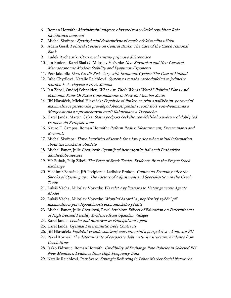- 6. Roman Horváth: Mezinárodní migrace obyvatelstva v České republice: Role likviditních omezení
- 7. Michal Skořepa: Zpochybnění deskriptivnosti teorie očekávaného užitku
- 8. Adam Geršl: Political Pressure on Central Banks: The Case of the Czech National Bank
- 9. Luděk Rychetník: *Čtyři mechanismy příjmové diferenciace*
- 10. Jan Kodera, Karel Sladký, Miloslav Vošvrda: Neo-Keynesian and Neo-Classical Macroeconomic Models: Stability and Lyapunov Exponents
- 11. Petr Jakubík: Does Credit Risk Vary with Economic Cycles? The Case of Finland
- 12. Julie Chytilová, Natálie Reichlová: Systémy s mnoha rozhodujícími se jedinci v teoriích F. A. Hayeka a H. A. Simona
- 13. Jan Zápal, Ondřej Schneider: What Are Their Words Worth? Political Plans And Economic Pains Of Fiscal Consolidations In New Eu Member States
- 14. Jiří Hlaváček, Michal Hlaváček: Poptávková funkce na trhu s pojištěním: porovnání maximalizace paretovské pravděpodobnosti přežití s teorií EUT von-Neumanna a Morgensterna a s prospektovou teorií Kahnemana a Tverského
- 15. Karel Janda, Martin Čajka: Státní podpora českého zemědělského úvěru v období před vstupem do Evropské unie
- 16. Nauro F. Campos, Roman Horváth: Reform Redux: Measurement, Determinants and Reversals
- 17. Michal Skořepa: Three heuristics of search for a low price when initial information about the market is obsolete
- 18. Michal Bauer, Julie Chytilová: Opomíjená heterogenita lidí aneb Proč afrika dlouhodobě neroste
- 19. Vít Bubák, Filip Žikeš: *The Price of Stock Trades: Evidence from the Prague Stock* Exchange
- 20. Vladimír Benáček, Jiří Podpiera a Ladislav Prokop: Command Economy after the Shocks of Opening up: The Factors of Adjustment and Specialisation in the Czech **Trade**
- 21. Lukáš Vácha, Miloslav Vošvrda: Wavelet Applications to Heterogeneous Agents Model
- 22. Lukáš Vácha, Miloslav Vošvrda: "Morální hazard" a "nepříznivý výběr" při maximalizaci pravděpodobnosti ekonomického přežití
- 23. Michal Bauer, Julie Chytilová, Pavel Streblov: Effects of Education on Determinants of High Desired Fertility Evidence from Ugandan Villages
- 24. Karel Janda: Lender and Borrower as Principal and Agent
- 25. Karel Janda: Optimal Deterministic Debt Contracts
- 26. Jiří Hlaváček: Pojištění vkladů: současný stav, srovnání a perspektiva v kontextu EU
- 27. Pavel Körner: The determinants of corporate debt maturity structure: evidence from Czech firms
- 28. Jarko Fidrmuc, Roman Horváth: Credibility of Exchange Rate Policies in Selected EU New Members: Evidence from High Frequency Data
- 29. Natálie Reichlová, Petr Švarc: Strategic Referring in Labor Market Social Networks